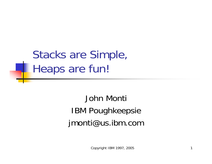Stacks are Simple, Heaps are fun!

> John Monti IBM Poughkeepsie jmonti@us.ibm.com

> > Copyright IBM 1997, 2005 1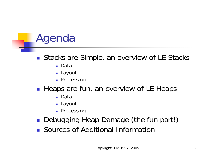# Agenda

#### $\| \cdot \|$ Stacks are Simple, an overview of LE Stacks

- Data
- Layout
- **Processing**
- $\mathcal{L}(\mathcal{A})$  Heaps are fun, an overview of LE Heaps
	- Data
	- Layout
	- **Processing**
- $\mathcal{L}(\mathcal{A})$ Debugging Heap Damage (the fun part!)
- **Sources of Additional Information**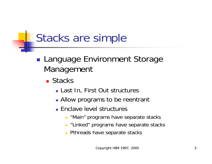#### **Service Service** ■ Language Environment Storage Management

- Stacks
	- Last In, First Out structures
	- **Allow programs to be reentrant**
	- **Enclave level structures** 
		- **"Main" programs have separate stacks**
		- **E** "Linked" programs have separate stacks
		- **Pthreads have separate stacks**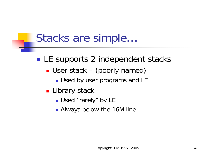- **Service Service** ■ LE supports 2 independent stacks
	- User stack (poorly named)
		- **Used by user programs and LE**
	- **Library stack** 
		- Used "rarely" by LE
		- **Always below the 16M line**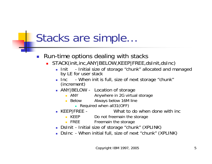#### $\mathcal{C}^{\mathcal{A}}$ Run-time options dealing with stacks

- STACK(init,inc,ANY|BELOW,KEEP|FREE,dsInit,dsInc)
	- **Init** Initial size of storage "chunk" allocated and managed by LE for user stack
	- $\blacksquare$  Inc. Inc - When init is full, size of next storage "chunk" (increment)
	- **ANY BELOW Location of storage** 
		- **ANY** Anywhere in 2G virtual storage
		- **Below** Always below 16M line
			- **Required when all31(OFF)**
	- $\blacksquare$  KEEP|FREE -What to do when done with inc
		- $\blacksquare$  KEEP Do not freemain the storage
		- $\blacksquare$  FREE Freemain the storage
	- DsInit Initial size of storage "chunk" (XPLINK)
	- DsInc When initial full, size of next "chunk" (XPLINK)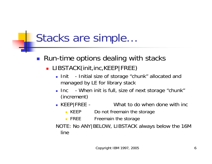- Run-time options dealing with stacks
	- **LIBSTACK(init,inc,KEEP|FREE)** 
		- $\blacksquare$  Init - Initial size of storage "chunk" allocated and managed by LE for library stack
		- **Inc When init is full, size of next storage "chunk"** (increment)
		- $\blacksquare$  KEEP|FREE -What to do when done with inc
			- **KEEP** Do not freemain the storage
			- $\blacksquare$  FREE Freemain the storage

NOTE: No ANY|BELOW, LIBSTACK always below the 16M line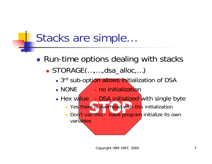**Service Service** ■ Run-time options dealing with stacks

■ STORAGE(...,...,dsa\_alloc,...)

- 3<sup>rd</sup> sub-option allows initialization of DSA
- $\blacksquare$  NONE  $\diagup$  no initialization
- **Hex value -**- DSA initialized with single byte
	- **STS** overhead with **Part Yes there is overhead with this initialization**
	- Don't use this have program initialize its own **variables**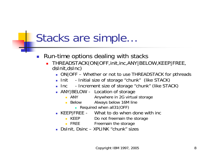- $\mathcal{L}_{\mathcal{A}}$  Run-time options dealing with stacks
	- Π THREADSTACK(ON|OFF,init,inc,ANY|BELOW,KEEP|FREE, dsInit,dsInc)
		- ON|OFF Whether or not to use THREADSTACK for pthreads
		- $\blacksquare$  Init - Initial size of storage "chunk" (like STACK)
		- $\blacksquare$  Inc - Increment size of storage "chunk" (like STACK)
		- **ANY BELOW Location of storage** 
			- $\blacksquare$  ANY Anywhere in 2G virtual storage
			- $\blacksquare$  Below Below Always below 16M line
				- **Required when all31(OFF)**
		- KEEP|FREE What to do when done with inc
			- **KEEP** Do not freemain the storage
			- **FREE** Freemain the storage
		- DsInit, Dsinc XPLINK "chunk" sizes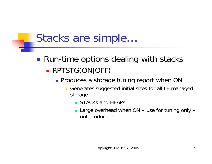**Service Service** ■ Run-time options dealing with stacks × RPTSTG(ON|OFF)

- **Produces a storage tuning report when ON** 
	- $\overline{\phantom{a}}$  Generates suggested initial sizes for all LE managed storage
		- **STACKs and HEAPs**
		- Large overhead when ON use for tuning only not production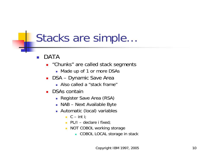- Ξ DATA
	- **E** "Chunks" are called stack segments
		- **Nade up of 1 or more DSAs**
	- DSA Dynamic Save Area
		- Also called a "stack frame"
	- DSAs contain
		- Register Save Area (RSA)
		- NAB Next Available Byte
		- Automatic (local) variables
			- $C int i$ ;
			- $\blacksquare$  PL/I declare i fixed;
			- **NOT COBOL working storage** 
				- **COBOL LOCAL storage in stack**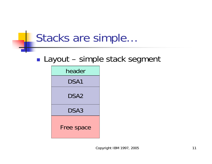#### **Service Service** ■ Layout – simple stack segment

| header     |
|------------|
| DSA1       |
| DSA2       |
| DSA3       |
| Free space |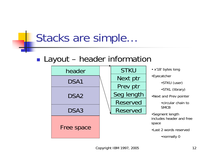#### **Service Service** ■ Layout – header information

| header           | <b>STKU</b>     | • x'18' bytes long                            |
|------------------|-----------------|-----------------------------------------------|
| DSA1             | Next ptr        | •Eyecatcher                                   |
|                  | Prev ptr        | ·STKU (use                                    |
| DSA <sub>2</sub> | Seg length      | ·STKL (libra<br>•Next and Prev po             |
|                  | <b>Reserved</b> | • circular cha                                |
| DSA3             | <b>Reserved</b> | <b>SMCB</b>                                   |
|                  |                 | •Segment length<br>includes header a<br>space |
| Free space       |                 | • Last 2 words res                            |
|                  |                 | •normally 0                                   |

- •STKU (user)
- •STKL (library)
- •Next and Prev pointer

•circular chain to **SMCB** 

ent length es header and free

2 words reserved

•normally 0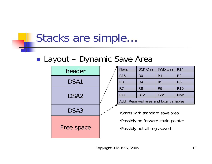#### **Service Service** ■ Layout – Dynamic Save Area



| <b>Flags</b>                            | <b>BCK Chn</b>  | FWD chn        | <b>R14</b>     |  |
|-----------------------------------------|-----------------|----------------|----------------|--|
| <b>R15</b>                              | R <sub>0</sub>  | R <sub>1</sub> | R <sub>2</sub> |  |
| R <sub>3</sub>                          | R <sub>4</sub>  | R <sub>5</sub> | R <sub>6</sub> |  |
| R <sub>7</sub>                          | R <sub>8</sub>  | R <sub>9</sub> | <b>R10</b>     |  |
| <b>R11</b>                              | R <sub>12</sub> | <b>LWS</b>     | <b>NAB</b>     |  |
| Addl. Reserved area and local variables |                 |                |                |  |

- •Starts with standard save area
- •Possibly no forward chain pointer
- •Possibly not all regs saved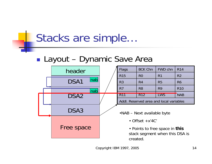#### $\mathbb{R}^2$ Layout – Dynamic Save Area

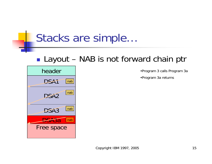#### Layout – NAB is not forward chain ptr



•Program 3 calls Program 3a

•Program 3a returns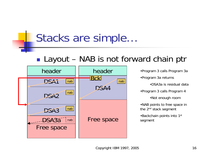#### **Service Service** Layout – NAB is not forward chain ptr



•Program 3 calls Program 3a •Program 3a returns •DSA3a is residual data•Program 3 calls Program 4 •Not enough room •NAB points to free space in the 2nd stack seg ment •Backchain points into 1st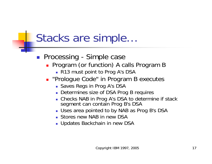- **Processing Simple case** 
	- **Program (or function) A calls Program B** 
		- R13 must point to Prog A's DSA
	- **-** "Prologue Code" in Program B executes
		- **Saves Regs in Prog A's DSA**
		- **Determines size of DSA Prog B requires**
		- Checks NAB in Prog A's DSA to determine if stack segment can contain Prog B's DSA
		- Uses area pointed to by NAB as Prog B's DSA
		- **Stores new NAB in new DSA**
		- Updates Backchain in new DSA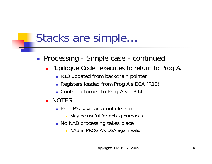#### **Processing - Simple case - continued**

- **.** "Epilogue Code" executes to return to Prog A.
	- **R13 updated from backchain pointer**
	- Registers loaded from Prog A's DSA (R13)
	- Control returned to Prog A via R14
- NOTES:
	- **Prog B's save area not cleared** 
		- **May be useful for debug purposes.**
	- **No NAB processing takes place** 
		- **NAB in PROG A's DSA again valid**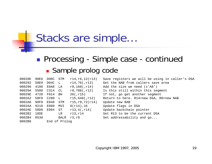#### **Service Service Processing - Simple case - continued Sample prolog code**

| 00028E              | 90E6 | DOOC STM |               | r14, r6, 12(r13)    | Save registers we will be using in caller's DSA |
|---------------------|------|----------|---------------|---------------------|-------------------------------------------------|
| 000292              | 58E0 | DO4C L   |               | r14,76(,r13)        | Get the NAB from callers save area              |
| 000296              | 4100 | E0A8 LA  |               | $r0,168($ , $r14)$  | Add the size we need $(x'AB')$                  |
| 00029A 5500 C314 CL |      |          |               | r0,788(,r12)        | Is this still within this segment               |
| 00029E 4720         |      | F014     | BH            | 20(j, r15)          | If not, go get another segment                  |
| 0002A2 58F0 C280 L  |      |          |               | $r15,640($ , $r12)$ | Return to here. R14=new DSA, R0=new NAB         |
| 0002A6 90F0         |      | E048 STM |               | r15, r0, 72(r14)    | Update new NAB                                  |
| 0002AA              | 9210 | E000     | MVI           | $0(r14)$ , 16       | Update flags in DSA                             |
| 0002AB              | 50D0 | E004 ST  |               | $r13, 4($ , $r14)$  | Update backchain pointer                        |
| 0002B2 18DE         |      |          | LR            | r13,r14             | Set R13 to be the current DSA                   |
| 0002B4              | 0530 |          |               | BALR r3,r0          | Set addressability and go                       |
| 0002B6              |      |          | End of Prolog |                     |                                                 |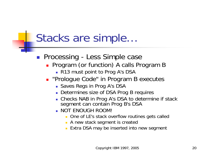- **Processing Less Simple case** 
	- **Program (or function) A calls Program B** 
		- R13 must point to Prog A's DSA
	- **-** "Prologue Code" in Program B executes
		- **Saves Regs in Prog A's DSA**
		- **Determines size of DSA Prog B requires**
		- Checks NAB in Prog A's DSA to determine if stack segment can contain Prog B's DSA
		- NOT ENOUGH ROOM!
			- **Diamark 1 One of LE's stack overflow routines gets called**
			- **A** new stack segment is created
			- **Extra DSA may be inserted into new segment**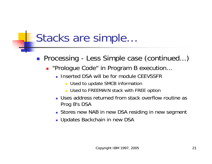- **Processing Less Simple case (continued...)** 
	- **"Prologue Code" in Program B execution...** 
		- **Inserted DSA will be for module CEEVSSFR** 
			- **Used to update SMCB information**
			- Used to FREEMAIN stack with FREE option
		- Uses address returned from stack overflow routine as Prog B's DSA
		- Stores new NAB in new DSA residing in new segment
		- Updates Backchain in new DSA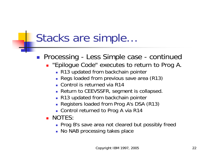#### **Processing - Less Simple case - continued**

- **.** "Epilogue Code" executes to return to Prog A.
	- **R13 updated from backchain pointer**
	- **Regs loaded from previous save area (R13)**
	- Control is returned via R14
	- Return to CEEVSSFR, segment is collapsed.
	- **R13 updated from backchain pointer**
	- Registers loaded from Prog A's DSA (R13)
	- Control returned to Prog A via R14
- NOTES:
	- **Prog B's save area not cleared but possibly freed**
	- **No NAB processing takes place**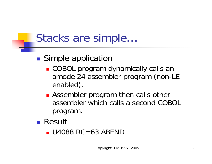#### **Simple application**

- COBOL program dynamically calls an amode 24 assembler program (non-LE enabled).
- **Assembler program then calls other** assembler which calls a second COBOL program.
- Result
	- U4088 RC=63 ABEND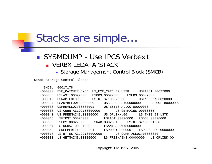#### $\mathcal{L}^{\text{max}}$  SYSMDUMP - Use IPCS Verbexit VERBX LEDATA 'STACK'

#### Storage Management Control Block (SMCB)

Stack Storage Control Blocks

| SMCB:     | 00017178                                        |                         |                        |                                     |  |
|-----------|-------------------------------------------------|-------------------------|------------------------|-------------------------------------|--|
| $+000000$ | EYE CATCHER: SMCB                               | US_EYE_CATCHER:USTK     |                        | USFIRST:00027000                    |  |
| $+00000C$ | USLAST: 00027000                                | USBOS:00027000          | USEOS:00047000         |                                     |  |
| $+000018$ | USNAB: F0F00000                                 | USINITSZ:00020000       |                        | USINCRSZ:00020000                   |  |
| $+000024$ | USANYBELOW:80000000                             | USKEEPFREE:00000000     |                        | USPOOL:80000002                     |  |
| $+000030$ | USPREALLOC:00000001                             | US BYTES ALLOC:00000000 |                        |                                     |  |
| $+000038$ | US CURR ALLOC:00000000                          |                         | US GETMAINS: 00000000  |                                     |  |
| $+000040$ | US FREEMAINS: 00000000                          | US OPLINK:00            |                        | LS_THIS_IS:LSTK                     |  |
| $+00004C$ | LSFIRST: 00026000                               | LSLAST:00026000         |                        | LSBOS:00026000                      |  |
| $+000058$ | LSEOS:00027000 LSNAB:00026018 LSINITSZ:00001000 |                         |                        |                                     |  |
| $+000064$ | LSINCRSZ: 00001000                              | LSANYBELOW:8000000      |                        |                                     |  |
| $+00006C$ | LSKEEPFREE: 00000001                            |                         |                        | LSPOOL:80000001 LSPREALLOC:00000001 |  |
| $+000078$ | LS_BYTES_ALLOC:00000000                         |                         | LS CURR ALLOC:00000000 |                                     |  |
| $+000080$ | LS GETMAINS: 00000000                           |                         |                        | LS FREEMAINS:00000000 LS OPLINK:00  |  |

Copyright IBM 1997, 2005 24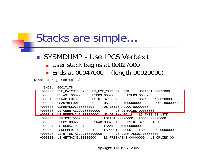#### SYSMDUMP - Use IPCS Verbexit

- **User stack begins at 00027000**
- Ends at 00047000 (length 00020000)

Stack Storage Control Blocks

| SMCB:     | 00017178                |                         |                        |
|-----------|-------------------------|-------------------------|------------------------|
| $+000000$ | EYE CATCHER: SMCB       | US EYE CATCHER: USTK    | USFIRST: 00027000      |
| $+00000C$ | USLAST: 00027000        | USBOS:00027000          | USEOS:00047000         |
| $+000018$ | USNAB: FOF00000         | USINITSZ:00020000       | USINCRSZ:00020000      |
| $+000024$ | USANYBELOW:8000000      | USKEEPFREE:00000000     | USPOOL:80000002        |
| $+000030$ | USPREALLOC: 00000001    | US BYTES ALLOC:00000000 |                        |
| $+000038$ | US CURR ALLOC: 00000000 | US GETMAINS: 00000000   |                        |
| $+000040$ | US FREEMAINS: 00000000  | US OPLINK:00            | LS THIS IS:LSTK        |
| $+00004C$ | LSFIRST: 00026000       | LSLAST: 00026000        | LSBOS:00026000         |
| $+000058$ | LSEOS:00027000          | LSNAB:00026018          | LSINITSZ:00001000      |
| $+000064$ | LSINCRSZ:00001000       | LSANYBELOW: 80000000    |                        |
| $+00006C$ | LSKEEPFREE:00000001     | LSPOOL:80000001         | LSPREALLOC:00000001    |
| $+000078$ | LS BYTES ALLOC:00000000 |                         | LS_CURR_ALLOC:00000000 |
| $+000080$ | LS GETMAINS: 00000000   | LS FREEMAINS:00000000   | LS OPLINK:00           |

Copyright IBM 1997, 2005 25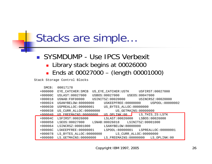$\mathcal{L}^{\text{max}}$  SYSMDUMP - Use IPCS Verbexit **Library stack begins at 00026000** ■ Ends at 00027000 - (length 00001000)

Stack Storage Control Blocks

| SMCB:     | 00017178                                        |                               |                                        |
|-----------|-------------------------------------------------|-------------------------------|----------------------------------------|
| $+000000$ | EYE CATCHER: SMCB                               | US EYE CATCHER:USTK           | USFIRST: 00027000                      |
| $+00000C$ | USLAST: 00027000                                | USBOS:00027000 USEOS:00047000 |                                        |
| $+000018$ | USNAB: F0F00000                                 | USINITSZ:00020000             | USINCRSZ:00020000                      |
| $+000024$ | USANYBELOW:80000000                             |                               | USKEEPFREE:00000000    USPOOL:80000002 |
| $+000030$ | USPREALLOC:00000001                             | US_BYTES_ALLOC:00000000       |                                        |
| $+000038$ | US CURR ALLOC:00000000                          |                               | US_GETMAINS:00000000                   |
| $+000040$ | US FREEMAINS:00000000                           | US OPLINK:00                  | LS_THIS_IS:LSTK                        |
| $+00004C$ | LSFIRST:00026000                                | LSLAST: 00026000              | LSBOS:00026000                         |
| $+000058$ | LSEOS:00027000 LSNAB:00026018 LSINITSZ:00001000 |                               |                                        |
| $+000064$ | LSINCRSZ:00001000                               | LSANYBELOW:8000000            |                                        |
| $+00006C$ | LSKEEPFREE:00000001                             |                               | LSPOOL:80000001 LSPREALLOC:00000001    |
| $+000078$ | LS BYTES ALLOC:00000000                         |                               | LS_CURR_ALLOC:00000000                 |
| $+000080$ | LS GETMAINS: 00000000                           | LS FREEMAINS: 00000000        | LS OPLINK:00                           |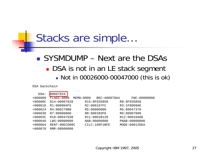#### ■ SYSMDUMP – Next are the DSAs **DSA** is not in an LE stack segment Not in 00026000-00047000 (this is ok)

DSA backchain

| DSA:      | 00007834       |           |                |                |
|-----------|----------------|-----------|----------------|----------------|
| $+000000$ | FLAGS:0000     | MEMD:0000 | BKC:A00078A4   | FWC:00000000   |
| $+00000C$ | R14:00007828   |           | R15:9F935858   | R0:9F935858    |
| $+000018$ | R1:000004F5    |           | R2:000187FC    | R3:1F8009AE    |
| $+000024$ | R4:000270B8    |           | R5:00000000    | R6:00047370    |
| $+000030$ | R7:00000000    |           | R8:8001B3F0    | R9:00007800    |
| $+00003C$ | R10:00047038   |           | R11:8001B128   | R12:00016A88   |
| $+000048$ | LWS:00000000   |           | NAB: 00000000  | PNAB: 00000000 |
| $+000064$ | RENT: 90ECD00C |           | CILC: 189F1BFE | MODE:80012DEA  |
| $+000078$ | RMR: 00000000  |           |                |                |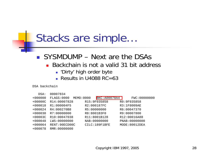#### SYSMDUMP – Next are the DSAs

- Backchain is not a valid 31 bit address
	- **Dirty' high order byte**
	- Results in U4088  $RC = 63$

#### DSA backchain

| DSA:      | 00007834       |            |                     |                |  |
|-----------|----------------|------------|---------------------|----------------|--|
| $+000000$ | FLAGS:0000     | MEMD: 0000 | <b>BKC:A00078A4</b> | FWC:00000000   |  |
| $+00000C$ | R14:00007828   |            | R15:9F935858        | R0:9F935858    |  |
| $+000018$ | R1:000004F5    |            | R2:000187FC         | R3:1F8009AE    |  |
| $+000024$ | R4:000270B8    |            | R5:00000000         | R6:00047370    |  |
| $+000030$ | R7:00000000    |            | R8:8001B3F0         | R9:00007800    |  |
| $+00003C$ | R10:00047038   |            | R11:8001B128        | R12:00016A88   |  |
| $+000048$ | LWS:0000000    |            | NAB: 00000000       | PNAB: 00000000 |  |
| $+000064$ | RENT: 90ECD00C |            | CILC: 189F1BFE      | MODE:80012DEA  |  |
| $+000078$ | RMR: 00000000  |            |                     |                |  |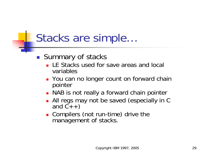#### Summary of stacks

- **LE Stacks used for save areas and local** variables
- **Nou can no longer count on forward chain** pointer
- **NAB** is not really a forward chain pointer
- $\mathbb{R}^n$ All regs may not be saved (especially in C and  $C_{++}$ )
- **Compilers (not run-time) drive the** management of stacks.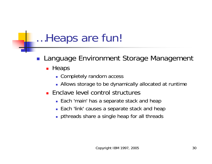- $\mathbb{R}^n$  Language Environment Storage Management
	- **-** Heaps
		- **Completely random access**
		- Allows storage to be dynamically allocated at runtime
	- **Enclave level control structures** 
		- **Each 'main' has a separate stack and heap**
		- **Each 'link' causes a separate stack and heap**
		- **pthreads share a single heap for all threads**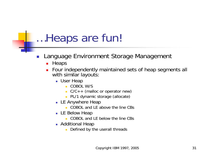#### Ξ Language Environment Storage Management

- **-** Heaps
- Π Four independently maintained sets of heap segments all with similar layouts:
	- User Heap
		- COBOL W/S
		- C/C++ (malloc or operator new)
		- **PL/1 dynamic storage (allocate)**
	- **LE Anywhere Heap** 
		- COBOL and LE above the line CBs
	- **LE Below Heap** 
		- COBOL and LE below the line CBs
	- **Additional Heap** 
		- ٠ Defined by the userall threads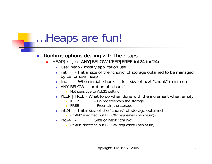- $\mathcal{L}_{\mathcal{A}}$  Runtime options dealing with the heaps
	- HEAP(init,inc,ANY|BELOW,KEEP|FREE,int24,inc24)
		- User heap mostly application use
		- $\blacksquare$  init - Initial size of the "chunk" of storage obtained to be managed by LE for user heap
		- $\blacksquare$  Inc. - When initial "chunk" is full, size of next "chunk" (minimum)
		- ANY|BELOW Location of "chunk"
			- **Not sensitive to ALL31 setting**
		- KEEP | FREE What to do when done with the increment when empty
			- $KEEP$ - Do not freemain the storage
			- $\blacksquare$  FREE - Freemain the storage
		- int24 Inital size of the "chunk" of storage obtained
			- (if ANY specified but BELOW requested (minimum))
		- $\blacksquare$  inc. 24  $\blacksquare$ Size of next "chunk"
			- (if ANY specified but BELOW requested (minimum)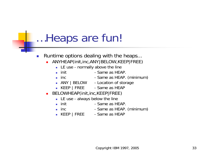- $\mathbb{R}^3$  Runtime options dealing with the heaps...
	- ANYHEAP(init,inc,ANY|BELOW,KEEP|FREE)
		- **LE use normally above the line**
		- $\blacksquare$  init - Same as HFAP.
		- $\blacksquare$  inc. - Same as HEAP. (minimum)
		- ANY | BELOW Location of storage
		- KEEP | FREE Same as HEAP
	- BELOWHEAP(init,inc,KEEP|FREE)
		- **LE use always below the line**
		- $\blacksquare$  init Init - Same as HEAP.
		- inc  $-$  Same as HEAP. (minimum)
		- KEEP | FREE Same as HEAP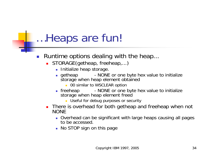- $\mathbb{R}^3$  Runtime options dealing with the heap...
	- Π STORAGE(getheap, freeheap,...)
		- **Initialize heap storage.**
		- П getheap - NONE or one byte hex value to initialize storage when heap element obtained
			- **00 similar to WSCLEAR option**
		- $\blacksquare$  freeheap - NONE or one byte hex value to initialize storage when heap element freed
			- **Dimeson Useful for debug purposes or security**
	- **There is overhead for both getheap and freeheap when not NONE** 
		- Overhead can be significant with large heaps causing all pages to be accessed.
		- **No STOP sign on this page**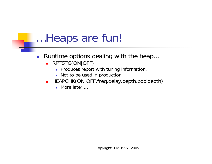- $\mathcal{L}_{\mathcal{A}}$  Runtime options dealing with the heap...
	- RPTSTG(ON|OFF)
		- **Produces report with tuning information.**
		- **Not to be used in production**
	- **HEAPCHK(ON|OFF,freq,delay,depth,pooldepth)** 
		- More later....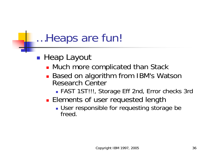- ■ Heap Layout
	- **Nuch more complicated than Stack**
	- Based on algorithm from IBM's Watson Research Center
		- FAST 1ST!!!, Storage Eff 2nd, Error checks 3rd
	- **Elements of user requested length** 
		- **User responsible for requesting storage be** freed.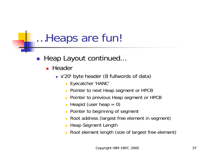#### $\mathcal{L}_{\mathcal{A}}$ Heap Layout continued...

### ■ Header

- <sup>x</sup>'20' byte header (8 fullwords of data)
	- **Eyecatcher 'HANC'**
	- $\blacksquare$ Pointer to next Heap segment or HPCB
	- Pointer to previous Heap segment or HPCB
	- Heapid (user heap  $= 0$ )
	- Pointer to beginning of segment
	- Root address (largest free element in segment)
	- **-** Heap Segment Length
	- Root element length (size of largest free element)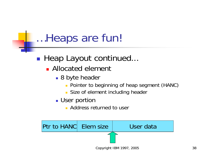### **Heap Layout continued...**

- **E** Allocated element
	- 8 byte header
		- **Pointer to beginning of heap segment (HANC)**
		- **Size of element including header**
	- User portion
		- **Address returned to user**

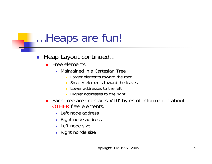- $\mathcal{L}^{\text{max}}_{\text{max}}$  Heap Layout continued...
	- **Free elements** 
		- Maintained in a Cartesian Tree
			- $\mathcal{L}$ Larger elements toward the root
			- Smaller elements toward the leaves
			- **Lower addresses to the left**
			- Higher addresses to the right
	- Each free area contains x'10' bytes of information about OTHER free elements.
		- Left node address
		- **Right node address**
		- Left node size
		- Right nonde size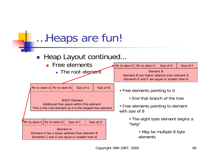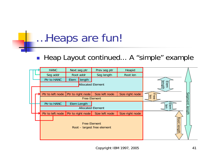#### $\mathbb{R}^n$ ■ Heap Layout continued... A "simple" example

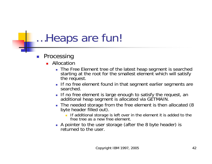- Ξ Processing
	- **Allocation** 
		- The Free Element tree of the latest heap segment is searched starting at the root for the smallest element which will satisfy the request.
		- **If no free element found in that segment earlier segments are** searched.
		- **If no free element is large enough to satisfy the request, an** additional heap segment is allocated via GETMAIN.
		- П The needed storage from the free element is then allocated (8 byte header filled out).
			- **If additional storage is left over in the element it is added to the** free tree as a new free element.
		- A pointer to the user storage (after the 8 byte header) is returned to the user.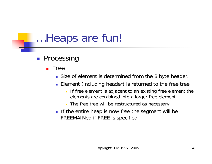- **Processing** 
	- **Free** 
		- Size of element is determined from the 8 byte header.
		- **Element (including header) is returned to the free tree** 
			- **If free element is adjacent to an existing free element the** elements are combined into a larger free element
			- The free tree will be restructured as necessary.
		- **If the entire heap is now free the segment will be** FREEMAINed if FREE is specified.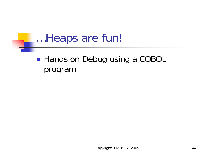**Service Service** ■ Hands on Debug using a COBOL program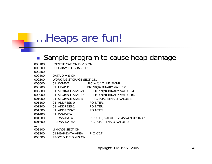#### $\mathcal{L}_{\mathcal{A}}$ Sample program to cause heap damage

| 000100 | IDENTIFICATION DIVISION. |                                     |
|--------|--------------------------|-------------------------------------|
| 000200 | PROGRAM-ID. SHAREHP.     |                                     |
| 000300 |                          |                                     |
| 000400 | DATA DIVISION.           |                                     |
| 000500 | WORKING-STORAGE SECTION. |                                     |
| 000600 | 01 WS-EYE                | PIC X(4) VALUE "WS-B".              |
| 000700 | 01 HEAPID                | PIC S9(9) BINARY VALUE 0.           |
| 000800 | 01 STORAGE-SIZE-24       | PIC S9(9) BINARY VALUE 24.          |
| 000900 | 01 STORAGE-SIZE-16       | PIC S9(9) BINARY VALUE 16.          |
| 001000 | 01 STORAGE-SIZE-8        | PIC S9(9) BINARY VALUE 8.           |
|        |                          | POINTER.                            |
| 001200 | 01 ADDRESS-1 POINTER.    |                                     |
| 001300 | 01 ADDRESS-2             | POINTER.                            |
| 001400 | 01 WS-DATA.              |                                     |
| 001500 | 03 WS-DATA1              | PIC X(16) VALUE "1234567890123456". |
| 001600 | 03 WS-DATA2              | PIC S9(9) BINARY VALUE 0.           |
|        |                          |                                     |
| 003100 | LINKAGE SECTION.         |                                     |
| 003200 | 01 HEAP-DATA-AREA        | PIC X(17).                          |
| 003300 | PROCEDURE DIVISION.      |                                     |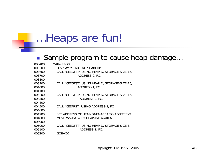#### $\mathcal{L}_{\mathcal{A}}$ Sample program to cause heap damage…

| 003400 | MAIN-PROG.                                    |
|--------|-----------------------------------------------|
| 003500 | DISPLAY "STARTING SHAREHP"                    |
| 003600 | CALL "CEEGTST" USING HEAPID, STORAGE-SIZE-16, |
| 003700 | ADDRESS-0, FC.                                |
| 003800 |                                               |
| 003900 | CALL "CEEGTST" USING HEAPID, STORAGE-SIZE-16, |
| 004000 | ADDRESS-1, FC.                                |
| 004100 |                                               |
| 004200 | CALL "CEEGTST" USING HEAPID, STORAGE-SIZE-16, |
| 004300 | ADDRESS-2, FC.                                |
| 004400 |                                               |
| 004500 | CALL "CEEFRST" USING ADDRESS-1, FC.           |
| 004600 |                                               |
| 004700 | SET ADDRESS OF HEAP-DATA-AREA TO ADDRESS-2.   |
| 004800 | MOVE WS-DATA TO HEAP-DATA-AREA.               |
| 004900 |                                               |
| 005000 | CALL "CEEGTST" USING HEAPID, STORAGE-SIZE-8,  |
| 005100 | ADDRESS-1, FC.                                |
| 005200 | GOBACK.                                       |
|        |                                               |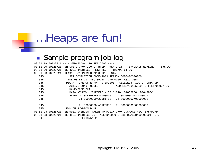### ■ Sample program job log

|                   | 08.51.19 JOB25721 ---- WEDNESDAY, 16 FEB 2005 ----                           |
|-------------------|------------------------------------------------------------------------------|
| 08.51.20 JOB25721 | \$HASP373 JMONTIGO STARTED - WLM INIT - SRVCLASS WLMLONG<br>- SYS AOFT       |
| 08.51.20 JOB25721 | IEF403I JMONTIGO - STARTED - TIME=08.51.20                                   |
| 08.51.23 JOB25721 | IEA995I SYMPTOM DUMP OUTPUT 345                                              |
| 345               | USER COMPLETION CODE=4039 REASON CODE=00000000                               |
| 345               | TIME=08.51.21 SEO=09748 CPU=0000 ASID=00BA                                   |
| 345               | PSW AT TIME OF ERROR 078D1000 A01ECE96 ILC 2<br>INTC OD                      |
| 345               | ACTIVE LOAD MODULE ADDRESS=201256C0 OFFSET=000C77D6                          |
| 345               | NAME=CEEPLPKA                                                                |
| 345               | DATA AT PSW 201ECE90 - 00181610 0A0D58D0<br>D00498EC                         |
| 345               | AR/GR 0: 80AB5B3E/84000000 1: 00000000/84000FC7                              |
| 345               | 2: 00000000/20381F88 3: 00000000/00000002                                    |
| $\cdots$          |                                                                              |
| 345               | E: 00000000/A01E0DDE F: 00000000/00000000                                    |
| 345               | END OF SYMPTOM DUMP                                                          |
| 08.51.23 JOB25721 | IEA993I SYSMDUMP TAKEN TO POSIX.JMONTI.SHARE.HEAP.SYSMDUMP                   |
|                   | 08.51.23 JOB25721 IEF450I JMONTIGO GO - ABEND=S000 U4038 REASON=00000001 347 |
| 347               | TIME=08.51.23                                                                |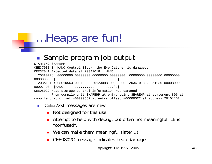### $\mathbb{R}^n$ Sample program job output

STARTING SHAREHP...

CEE3703I In HANC Control Block, the Eye Catcher is damaged.

CEE3704I Expected data at 203A1018 : HANC. 203A0FF8: 00000000 00000000 00000000 00000000 00000000 00000000 00000000

<sup>00000000</sup> |................................|

203A1018: C8C1D5C3 0001D000 201230B8 00000000 A03A1018 203A1080 00008000 00007F98 |HANC.........................."q|

CEE0802C Heap storage control information was damaged.

From compile unit SHAREHP at entry point SHAREHP at statement 896 at compile unit offset +000005C2 at entry offset +000005C2 at address 201011B2.

- $\mathcal{C}^{\mathcal{A}}$  CEE37xxI messages are new
	- **Not designed for this use.**
	- Attempt to help with debug, but often not meaningful. LE is "confused".
	- We can make them meaningful (later...)
	- CEE0802C message indicates heap damage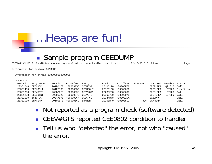CEE3DMP V1 R6.0: Condition processing resulted in the unhandled condition. 02/16/05 8:51:23 AM Page: 1

Information for enclave SHAREHP

 $\mathbb{R}^n$ 

Information for thread 8000000000000000

| Traceback: |              |          |             |          |          |             |           |          |                |           |
|------------|--------------|----------|-------------|----------|----------|-------------|-----------|----------|----------------|-----------|
| DSA Addr   | Program Unit | PU Addr  | PU Offset   | Entry    | E Addr   | E Offset    | Statement | Load Mod | Service Status |           |
| 20381648   | CEEHDSP      | 201DD170 | $+00003F58$ | CEEHDSP  | 201DD170 | +00003F58   |           | CEEPLPKA | U091316 Call   |           |
| 203814B0   | CEEHSGLT     | 201EF1B8 | $+0000005C$ | CEEHSGLT | 201EF1B8 | $+0000005C$ |           | CEEPLPKA | HLE7709        | Exception |
| 20381398   | CEEV#GTS     | 202BBFF8 | $+00000698$ | CEEV#GTS | 202BBFF8 | $+00000698$ |           | CEEPLPKA | HLE7709        | Call      |
| 203812E8   | CEEVGTST     | 202CC720 | $+00000072$ | CEEVGTST | 202CC720 | $+00000072$ |           | CEEPLPKA | HLE7709        | Call      |
| 20381100   | IGZCFCC      | 2034AB78 | $+000002CA$ | IGZCFCC  | 2034AB78 | $+000002CA$ |           | IGZCPAC  |                | Call      |
| 20381030   | SHAREHP      | 20100BF0 | $+000005C2$ | SHAREHP  | 20100BF0 | $+000005C2$ | 896       | SHAREHP  |                | Call      |

…Heaps are fun!

Sample program CEEDUMP

- $\overline{\phantom{a}}$ Not reported as a program check (software detected)
- $\overline{\phantom{a}}$ CEEV#GTS reported CEE0802 condition to handler
- $\overline{\phantom{a}}$  Tell us who "detected" the error, not who "caused" the error.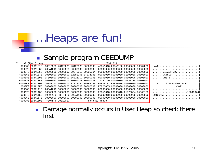#### $\| \cdot \|$ Sample program CEEDUMP

|                                                                  |                                     |  |                                     | : 203A1018 |                                     |                                                                       |
|------------------------------------------------------------------|-------------------------------------|--|-------------------------------------|------------|-------------------------------------|-----------------------------------------------------------------------|
| $+000000$ 203A1018 C8C1D5C3 201230B8 201230B8 00000000           |                                     |  | A03A1018 203A1160 00008000 00007EB8 |            |                                     |                                                                       |
| +000020 203A1038                                                 | 203A1018 000000E0 000000D3 00000000 |  |                                     |            | 00000000 00000000 00000000 00000000 |                                                                       |
| +000040 203A1058                                                 | 00000000 00000000 C9C7E9E2 D9E3C3C4 |  |                                     |            |                                     | $\ldots \ldots \ldots$ IGZSRTCD. $\ldots \ldots \ldots \ldots \ldots$ |
| $+000060$ 203A1078                                               | 00000000 00000000 E2E8E2D6 E4E34040 |  |                                     |            | 00000000 00000000 0E000000 00000000 | $\ldots \ldots \text{SYSOUT}$ $\ldots \ldots \ldots \ldots$           |
| +000080 203A1098                                                 | 0F000000 00000000 E6E260C2 00000000 |  |                                     |            | 00000000 00000000 00000028 00000000 |                                                                       |
| +0000A0 203A10B8                                                 | 00000010 00000000 00000008 00000000 |  |                                     |            | 203A1120 00000000 203A1138 00000000 |                                                                       |
| $+000000$ 203A10D8                                               | 203A1150 00000000 F1F2F3F4 F5F6F7F8 |  |                                     |            | F9F0F1F2 F3F4F5F6 00000000 00000000 | $\ldots \& \ldots 1234567890123456 \ldots \ldots$                     |
| +0000E0 203A10F8                                                 | 00000000 00000000 00000000 00000000 |  |                                     |            | E6E260C5 00000000 00000000 00000000 | WS-E                                                                  |
| $+000100$ 203A1118                                               | 203A1018 00000018 00000000 00000000 |  |                                     |            |                                     |                                                                       |
| +000120 203A1138                                                 | 00000000 00000000 00000000 00000000 |  |                                     |            | 203A1018 00000018 F1F2F3F4 F5F6F7F8 | 12345678                                                              |
| +000140 203A1158    F9F0F1F2    F3F4F5F6    003A1130    00000000 |                                     |  |                                     |            | 00000018 00000000 00000000 00000000 |                                                                       |
| $+000160$ 203A1178 00000000 00000000 00000000 00000000           |                                     |  |                                     |            |                                     |                                                                       |
| +000180 203A1198 - +007FFF 203A9017                              |                                     |  | same as above                       |            |                                     |                                                                       |
|                                                                  |                                     |  |                                     |            |                                     |                                                                       |

 $\mathcal{C}^{\mathcal{A}}$  Damage normally occurs in User Heap so check there first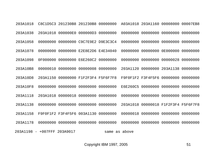203A1018 C8C1D5C3 201230B8 201230B8 00000000 A03A1018 203A1160 00008000 00007EB8203A1038 203A1018 000000E0 000000D3 00000000 00000000 00000000 00000000 00000000203A1058 00000000 00000000 C9C7E9E2 D9E3C3C4 00000000 00000000 00000000 00000000203A1078 00000000 00000000 E2E8E2D6 E4E34040 00000000 00000000 0E000000 00000000203A1098 0F000000 00000000 E6E260C2 00000000 00000000 00000000 00000028 00000000203A10B8 00000010 00000000 00000008 00000000 203A1120 00000000 203A1138 00000000203A10D8 203A1150 00000000 F1F2F3F4 F5F6F7F8 F9F0F1F2 F3F4F5F6 00000000 00000000203A10F8 00000000 00000000 00000000 00000000 E6E260C5 00000000 00000000 00000000203A1118 203A1018 00000018 00000000 00000000 00000000 00000000 00000000 00000000203A1138 00000000 00000000 00000000 00000000 203A1018 00000018 F1F2F3F4 F5F6F7F8203A1158 F9F0F1F2 F3F4F5F6 003A1130 00000000 00000018 00000000 00000000 00000000203A1178 00000000 00000000 00000000 00000000 00000000 00000000 00000000 00000000203A1198 - +007FFF 203A9017 same as above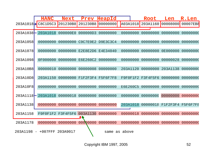|          | <b>HANC</b>         | <b>Next</b>       | Prev                       | HeapId        |                 | <b>Root</b>       | Len                        | R.Len    |
|----------|---------------------|-------------------|----------------------------|---------------|-----------------|-------------------|----------------------------|----------|
|          | 203A1018   C8C1D5C3 | 201230B8          | 201230B8                   | 00000000      | A03A1018        | 203A1160          | 00008000                   | 00007EB8 |
| 203A1038 | 203A1018            | 000000E0          | 000000D3                   | 00000000      | 00000000        | 00000000          | 00000000                   | 00000000 |
| 203A1058 | 00000000            |                   | 00000000 C9C7E9E2 D9E3C3C4 |               | 00000000        | 00000000          | 00000000                   | 00000000 |
| 203A1078 | 00000000            |                   | 00000000 E2E8E2D6 E4E34040 |               | 00000000        | 00000000          | <b>0E000000</b>            | 00000000 |
| 203A1098 | 0F000000            |                   | 00000000 E6E260C2 00000000 |               | 00000000        | 00000000          | 00000028                   | 00000000 |
| 203A10B8 | 00000010            |                   | 00000000 00000008 00000000 |               | 203A1120        | 00000000          | 203A1138                   | 00000000 |
| 203A10D8 | 203A1150            |                   | 00000000 F1F2F3F4 F5F6F7F8 |               |                 | F9F0F1F2 F3F4F5F6 | 00000000                   | 00000000 |
| 203A10F8 | 00000000            | 00000000          | 00000000                   | 00000000      | <b>E6E260C5</b> | 00000000          | 00000000                   | 00000000 |
| 203A1118 | 203A1018            | 00000018          | 00000000                   | 00000000      | 00000000        | 00000000          | 00000000                   | 00000000 |
| 203A1138 | 00000000            | 00000000          | 00000000                   | 00000000      | 203A1018        |                   | 00000018 F1F2F3F4 F5F6F7F8 |          |
| 203A1158 | F9F0F1F2            | <b>F3F4F5F6</b>   | 003A1130                   | 00000000      | 00000018        | 00000000          | 00000000                   | 00000000 |
| 203A1178 | 00000000            | 00000000 00000000 |                            | 00000000      | 00000000        | 00000000          | 00000000                   | 00000000 |
|          | 203A1198 - +007FFF  | 203A9017          |                            | same as above |                 |                   |                            |          |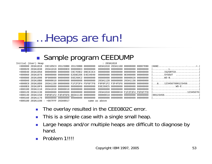### $\mathcal{L}^{\text{max}}_{\text{max}}$ Sample program CEEDUMP

| Initial (User) Heap                 |                                     |                                     | : 203A1018                          |                                     |                                                                |
|-------------------------------------|-------------------------------------|-------------------------------------|-------------------------------------|-------------------------------------|----------------------------------------------------------------|
| +000000 203A1018                    |                                     | C8C1D5C3 201230B8 201230B8 00000000 | A03A1018 203A1160 00008000 00007EB8 |                                     | $HANC$                                                         |
| +000020 203A1038                    | 203A1018 000000E0 000000D3 00000000 |                                     |                                     | 00000000 00000000 00000000 00000000 |                                                                |
| +000040 203A1058                    | 00000000 00000000 C9C7E9E2 D9E3C3C4 |                                     |                                     |                                     | $\ldots \ldots \ldots$ IGZSRTCD. $\ldots \ldots \ldots \ldots$ |
| +000060 203A1078                    | 00000000 00000000 E2E8E2D6 E4E34040 |                                     |                                     | 00000000 00000000 0E000000 00000000 | SYSOUT                                                         |
| +000080 203A1098                    | 0F000000 00000000 E6E260C2 00000000 |                                     |                                     | 00000000 00000000 00000028 00000000 |                                                                |
| +0000A0 203A10B8                    | 00000010 00000000 00000008 00000000 |                                     |                                     | 203A1120 00000000 203A1138 00000000 |                                                                |
| $+0000C0$ 203A10D8                  | 203A1150 00000000 F1F2F3F4 F5F6F7F8 |                                     |                                     | F9F0F1F2 F3F4F5F6 00000000 00000000 | $\ldots \& \ldots 1234567890123456 \ldots \ldots$              |
| +0000E0 203A10F8                    |                                     |                                     |                                     | E6E260C5 00000000 00000000 00000000 | . WS-E 1                                                       |
| +000100 203A1118                    | 203A1018 00000018 00000000 00000000 |                                     |                                     | 00000000 00000000 00000000 00000000 |                                                                |
| +000120 203A1138                    |                                     |                                     |                                     | 203A1018 00000018 F1F2F3F4 F5F6F7F8 | 12345678                                                       |
| +000140 203A1158                    | F9F0F1F2 F3F4F5F6 003A1130 00000000 |                                     |                                     | 00000018 00000000 00000000 00000000 | $90123456 \ldots \ldots \ldots \ldots \ldots \ldots$           |
| +000160 203A1178                    | 00000000 00000000 00000000 00000000 |                                     |                                     |                                     |                                                                |
| +000180 203A1198 - +007FFF 203A9017 |                                     |                                     | same as above                       |                                     |                                                                |
|                                     |                                     |                                     |                                     |                                     |                                                                |

- $\mathcal{L}_{\mathcal{A}}$ The overlay resulted in the CEE0802C error.
- $\mathcal{L}_{\mathcal{A}}$ This is a simple case with a single small heap.
- $\overline{\phantom{a}}$  Large heaps and/or multiple heaps are difficult to diagnose by hand.
- × Problem 1!!!!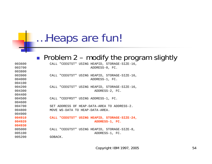### ■ Problem 2 – modify the program slightly

003600 CALL "CEEGTST" USING HEAPID, STORAGE-SIZE-16, 003700 ADDRESS-0, FC. 003800 003900 CALL "CEEGTST" USING HEAPID, STORAGE-SIZE-16, 004000 **ADDRESS-1, FC.** 004100 004200 CALL "CEEGTST" USING HEAPID, STORAGE-SIZE-16, 004300 ADDRESS-2, FC. 004400 004500 CALL "CEEFRST" USING ADDRESS-1, FC. 004600 004700 SET ADDRESS OF HEAP-DATA-AREA TO ADDRESS-2. 004800 MOVE WS-DATA TO HEAP-DATA-AREA. 004900 **004910 CALL "CEEGTST" USING HEAPID, STORAGE-SIZE-24, 004920 ADDRESS-1, FC. 004930**005000 CALL "CEEGTST" USING HEAPID, STORAGE-SIZE-8, 005100 ADDRESS-1, FC. 005200 GOBACK.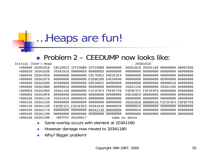#### $\mathcal{L}^{\text{max}}$ Problem 2 – CEEDUMP now looks like:

|           | Initial (User) Heap |       |                                     |                   | : 203A1018    |                            |                                     |            |
|-----------|---------------------|-------|-------------------------------------|-------------------|---------------|----------------------------|-------------------------------------|------------|
| $+000000$ | 203A1018            |       | C8C1D5C3 1FF230B8 1FF230B8 00000000 |                   |               | A03A1018 203A1180 00008000 |                                     | 00007E98   |
|           | +000020 203A1038    |       | 203A1018 000000E0 000000D3 00000000 |                   |               | 00000000 00000000 00000000 |                                     | . 00000000 |
|           | +000040 203A1058    |       | 00000000 00000000 C9C7E9E2 D9E3C3C4 |                   | 00000000      | 00000000 00000000          |                                     | . 00000000 |
|           | $+000060$ 203A1078  |       | 00000000 00000000 E2E8E2D6 E4E34040 |                   |               | 00000000 00000000 0E000000 |                                     | 00000000   |
|           | +000080 203A1098    |       | 0F000000 00000000 E6E260C2 00000000 |                   |               | 00000000 00000000 00000018 |                                     | 00000000   |
|           | $+0000A0 203A10B8$  |       | 00000010 00000000 00000008 00000000 |                   |               |                            | 203A1120 00000000 203A1168          | . 00000000 |
|           | $+0000C0 203A10D8$  |       | 203A1150 00000000 F1F2F3F4 F5F6F7F8 |                   |               | F9F0F1F2 F3F4F5F6 00000000 |                                     | . 00000000 |
|           | $+0000E0 203A10F8$  |       | 00000000 00000000 00000000 00000000 |                   |               | E6E260C5 00000000 00000000 |                                     | . 00000000 |
|           | +000100 203A1118    |       | 203A1018 00000018 00000000 00000000 |                   |               | 00000000 00000000 00000000 |                                     | . 00000000 |
|           | $+00012020341138$   |       | 00000000 00000000 00000000 00000000 |                   |               |                            | 203A1018 00000018 F1F2F3F4 F5F6F7F8 |            |
|           | +000140 203A1158    |       | F9F0F1F2 F3F4F5F6 203A1018 00000020 |                   |               | 00000018 00000000 00000000 |                                     | . 00000000 |
|           | +000160 203A1178    |       | 00000000 00000000                   | 003A1130 00000000 |               | 00000018 00000000 00000000 |                                     | . 00000000 |
|           | +000180 203A1198    |       | 00000000 00000000 00000000 00000000 |                   |               |                            | 00000000 00000000 00000000          | . 00000000 |
| $+0001A0$ | 203A11B8            | $ \,$ | +007FFF 201A9017                    |                   | same as above |                            |                                     |            |

- $\mathcal{L}_{\mathcal{A}}$ Same overlay occurs with element at 203A1160
- $\mathcal{L}_{\mathcal{A}}$ However damage now moved to 203A1180
- $\mathcal{L}_{\mathcal{A}}$ Why? Bigger problem!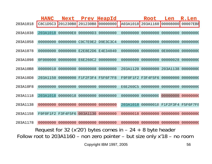|          | <b>HANC</b> | <b>Next</b>                |                   | Prev HeapId       |                                                                               | <b>Root</b>       | Len      | R.Len    |
|----------|-------------|----------------------------|-------------------|-------------------|-------------------------------------------------------------------------------|-------------------|----------|----------|
| 203A1018 | C8C1D5C3    | 201230B8                   | 201230B8          | 00000000          |                                                                               | A03A1018 203A1160 | 00008000 | 00007EB8 |
| 203A1038 | 203A1018    | 000000E0                   | 000000D3          | 00000000          | 00000000                                                                      | 00000000          | 00000000 | 00000000 |
| 203A1058 | 00000000    | 00000000                   |                   | C9C7E9E2 D9E3C3C4 | 00000000                                                                      | 00000000          | 00000000 | 00000000 |
| 203A1078 | 00000000    | 00000000                   | E2E8E2D6          | E4E34040          | 00000000                                                                      | 00000000          | 0E000000 | 00000000 |
| 203A1098 | 0F000000    |                            | 00000000 E6E260C2 | 00000000          | 00000000                                                                      | 00000000          | 00000028 | 00000000 |
| 203A10B8 | 00000010    | 00000000                   | 00000008          | 00000000          | 203A1120                                                                      | 00000000          | 203A1138 | 00000000 |
| 203A10D8 | 203A1150    | 00000000                   | F1F2F3F4 F5F6F7F8 |                   |                                                                               | F9F0F1F2 F3F4F5F6 | 00000000 | 00000000 |
| 203A10F8 | 00000000    | 00000000                   | 00000000          | 00000000          | <b>E6E260C5</b>                                                               | 00000000          | 00000000 | 00000000 |
| 203A1118 | 203A1018    | 00000018                   | 00000000          | 00000000          | 00000000                                                                      | 00000000          | 00000000 | 00000000 |
| 203A1138 | 00000000    | 00000000                   | 00000000          | 00000000          | 203A1018                                                                      | 00000018          | F1F2F3F4 | F5F6F7F8 |
| 203A1158 |             | F9F0F1F2 F3F4F5F6 003A1130 |                   | 00000000          | 00000018                                                                      | 00000000          | 00000000 | 00000000 |
| 203A1178 | 00000000    | 00000000                   | 00000000          | 00000000          | 00000000                                                                      | 00000000          | 00000000 | 00000000 |
|          |             |                            |                   |                   | Request for 32 ( $x'20'$ ) bytes comes in $-24 + 8$ byte header               |                   |          |          |
|          |             |                            |                   |                   | Follow root to $203A1160$ – non zero pointer – but size only $x'18$ – no room |                   |          |          |
|          |             |                            |                   |                   |                                                                               |                   |          |          |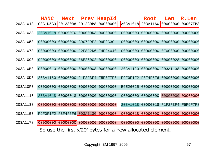|          | <b>HANC</b>       | <b>Next</b>       |                            | Prev HeapId       |                                                           | <b>Root</b>                | Len                        | R.Len    |
|----------|-------------------|-------------------|----------------------------|-------------------|-----------------------------------------------------------|----------------------------|----------------------------|----------|
| 203A1018 | C8C1D5C3          | 201230B8          | 201230B8                   | $\vert$ 00000000  |                                                           | A03A1018 203A1160 00008000 |                            | 00007EB8 |
| 203A1038 | 203A1018          | 000000E0          | 000000D3                   | 00000000          | 00000000                                                  | 00000000                   | 00000000                   | 00000000 |
| 203A1058 | 00000000          | 00000000          |                            | C9C7E9E2 D9E3C3C4 | 00000000                                                  | 00000000                   | 00000000                   | 00000000 |
| 203A1078 | 00000000          |                   | 00000000 E2E8E2D6 E4E34040 |                   | 00000000                                                  | 00000000                   | 0E000000                   | 00000000 |
| 203A1098 | 0F000000          |                   | 00000000 E6E260C2 00000000 |                   | 00000000                                                  | 00000000                   | 00000028                   | 00000000 |
| 203A10B8 | 00000010          |                   | 00000000 00000008          | 00000000          | 203A1120                                                  |                            | 00000000 203A1138 00000000 |          |
| 203A10D8 | 203A1150          |                   | 00000000 F1F2F3F4 F5F6F7F8 |                   |                                                           | F9F0F1F2 F3F4F5F6          | 00000000                   | 00000000 |
| 203A10F8 | 00000000          | 00000000          | 00000000                   | 00000000          | <b>E6E260C5</b>                                           | 00000000                   | 00000000                   | 00000000 |
| 203A1118 | 203A1018          |                   | 00000018 00000000          | 00000000          | 00000000                                                  | 00000000                   | 00000000                   | 00000000 |
| 203A1138 | 00000000          | 00000000          | 00000000                   | 00000000          | 203A1018                                                  | 00000018 F1F2F3F4 F5F6F7F8 |                            |          |
| 203A1158 |                   | F9F0F1F2 F3F4F5F6 | 003A1130                   | 00000000          | 00000018                                                  | 00000000                   | 00000000                   | 00000000 |
| 203A1178 | 00000000 00000000 |                   | 00000000                   | 00000000          |                                                           | 00000000 00000000 00000000 |                            | 00000000 |
|          |                   |                   |                            |                   | So use the first x'20' bytes for a new allocated element. |                            |                            |          |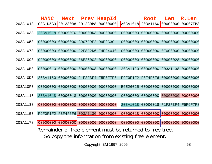|          | <b>HANC</b> | <b>Next</b>       |                            | Prev HeapId              |                                                          | Root              | Len      | R.Len    |
|----------|-------------|-------------------|----------------------------|--------------------------|----------------------------------------------------------|-------------------|----------|----------|
| 203A1018 | C8C1D5C3    | 201230B8          | 201230B8                   | 00000000                 | A03A1018                                                 | 203A1160          | 00008000 | 00007EB8 |
| 203A1038 | 203A1018    | 000000E0          | 000000D3                   | 00000000                 | 00000000                                                 | 00000000          | 00000000 | 00000000 |
| 203A1058 | 00000000    | 00000000          |                            | C9C7E9E2 D9E3C3C4        | 00000000                                                 | 00000000          | 00000000 | 00000000 |
| 203A1078 | 00000000    | 00000000          | E2E8E2D6 E4E34040          |                          | 00000000                                                 | 00000000          | 0E000000 | 00000000 |
| 203A1098 | 0F000000    |                   | 00000000 E6E260C2 00000000 |                          | 00000000                                                 | 00000000          | 00000028 | 00000000 |
| 203A10B8 | 00000010    | 00000000          | 00000008                   | 00000000                 | 203A1120                                                 | 00000000          | 203A1138 | 00000000 |
| 203A10D8 | 203A1150    |                   | 00000000 F1F2F3F4 F5F6F7F8 |                          |                                                          | F9F0F1F2 F3F4F5F6 | 00000000 | 00000000 |
| 203A10F8 | 00000000    | 00000000          | 00000000                   | 00000000                 | <b>E6E260C5</b>                                          | 00000000          | 00000000 | 00000000 |
| 203A1118 | 203A1018    | 00000018          | 00000000                   | 00000000                 | 00000000                                                 | 00000000          | 00000000 | 00000000 |
| 203A1138 | 00000000    | 00000000          |                            | 00000000 00000000        | 203A1018                                                 | 00000018          | F1F2F3F4 | F5F6F7F8 |
| 203A1158 |             | F9F0F1F2 F3F4F5F6 | 003A1130                   | 00000000                 | 00000018                                                 | 00000000          | 00000000 | 00000000 |
| 203A1178 | 00000000    | 00000000          |                            | 00000000 00000000        | 00000000                                                 | 00000000 00000000 |          | 00000000 |
|          |             |                   |                            |                          | Remainder of free element must be returned to free tree. |                   |          |          |
|          |             |                   |                            |                          | So copy the information from existing free element.      |                   |          |          |
|          |             |                   |                            | Copyright IBM 1997, 2005 |                                                          |                   |          | 58       |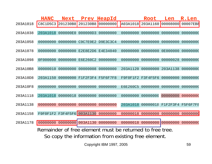|          | <b>HANC</b>       | <b>Next</b>                |                            | Prev HeapId       |                                                          | <b>Root</b>       | Len                        | R.Len    |
|----------|-------------------|----------------------------|----------------------------|-------------------|----------------------------------------------------------|-------------------|----------------------------|----------|
| 203A1018 | C8C1D5C3          | 201230B8                   | 201230B8                   | 00000000          | A03A1018                                                 | 203A1160          | 00008000                   | 00007EB8 |
| 203A1038 | 203A1018          | 000000E0                   | 000000D3                   | 00000000          | 00000000                                                 | 00000000          | 00000000                   | 00000000 |
| 203A1058 | 00000000          | 00000000                   | C9C7E9E2 D9E3C3C4          |                   | 00000000                                                 | 00000000          | 00000000                   | 00000000 |
| 203A1078 | 00000000          |                            | 00000000 E2E8E2D6 E4E34040 |                   | 00000000                                                 | 00000000          | 0E000000                   | 00000000 |
| 203A1098 | 0F000000          |                            | 00000000 E6E260C2 00000000 |                   | 00000000                                                 | 00000000          | 00000028                   | 00000000 |
| 203A10B8 | 00000010          | 00000000                   | 00000008                   | 00000000          | 203A1120                                                 | 00000000          | 203A1138                   | 00000000 |
| 203A10D8 | 203A1150          |                            | 00000000 F1F2F3F4 F5F6F7F8 |                   | F9F0F1F2 F3F4F5F6                                        |                   | 00000000                   | 00000000 |
| 203A10F8 | 00000000          | 00000000                   | 00000000                   | 00000000          | <b>E6E260C5</b>                                          | 00000000          | 00000000                   | 00000000 |
| 203A1118 | 203A1018          |                            | 00000018 00000000          | 00000000          | 00000000                                                 | 00000000          | 00000000                   | 00000000 |
| 203A1138 | 00000000          | 00000000                   | 00000000                   | 00000000          | 203A1018                                                 |                   | 00000018 F1F2F3F4 F5F6F7F8 |          |
| 203A1158 |                   | F9F0F1F2 F3F4F5F6 003A1130 |                            | 00000000          | 00000018                                                 | 00000000          | 00000000                   | 00000000 |
| 203A1178 | 00000000 00000000 |                            |                            | 003A1130 00000000 |                                                          | 00000018 00000000 | 00000000                   | 00000000 |
|          |                   |                            |                            |                   | Remainder of free element must be returned to free tree. |                   |                            |          |
|          |                   |                            |                            |                   | So copy the information from existing free element.      |                   |                            |          |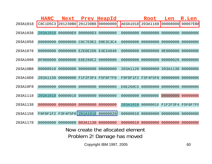|                                  | <b>HANC</b> | <b>Next</b> |                            | Prev HeapId                         |                 | <b>Root</b>       | Len               | R.Len    |
|----------------------------------|-------------|-------------|----------------------------|-------------------------------------|-----------------|-------------------|-------------------|----------|
| 203A1018                         | C8C1D5C3    | 201230B8    | 201230B8                   | 00000000                            |                 | A03A1018 203A1160 | 00008000          | 00007EB8 |
| 203A1038                         | 203A1018    | 000000E0    | 000000D3                   | 00000000                            | 00000000        | 00000000          | 00000000          | 00000000 |
| 203A1058                         | 00000000    | 00000000    |                            | C9C7E9E2 D9E3C3C4                   | 00000000        | 00000000          | 00000000          | 00000000 |
| 203A1078                         | 00000000    |             | 00000000 E2E8E2D6 E4E34040 |                                     | 00000000        | 00000000          | 0E000000          | 00000000 |
| 203A1098                         | 0F000000    |             | 00000000 E6E260C2          | 00000000                            | 00000000        | 00000000          | 00000028          | 00000000 |
| 203A10B8                         | 00000010    | 00000000    | 00000008                   | 00000000                            | 203A1120        | 00000000          | 203A1138          | 00000000 |
| 203A10D8                         | 203A1150    |             | 00000000 F1F2F3F4 F5F6F7F8 |                                     |                 | F9F0F1F2 F3F4F5F6 | 00000000          | 00000000 |
| 203A10F8                         | 00000000    | 00000000    | 00000000                   | 00000000                            | <b>E6E260C5</b> | 00000000          | 00000000          | 00000000 |
| 203A1118                         | 203A1018    |             | 00000018 00000000          | 00000000                            | 00000000        | 00000000          | 00000000          | 00000000 |
| 203A1138                         | 00000000    | 00000000    | 00000000                   | 00000000                            | 203A1018        | 00000018          | F1F2F3F4 F5F6F7F8 |          |
| 203A1158                         |             |             |                            | F9F0F1F2 F3F4F5F6 201A1018 00000020 | 00000018        | 00000000          | 00000000          | 00000000 |
| 203A1178                         | 00000000    | 00000000    | 003A1130                   | 00000000                            |                 | 00000018 00000000 | 00000000          | 00000000 |
| Now create the allocated element |             |             |                            |                                     |                 |                   |                   |          |
| Problem 2! Damage has moved      |             |             |                            |                                     |                 |                   |                   |          |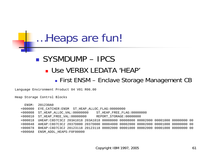## ■ SYSMDUMP – IPCS Use VERBX LEDATA 'HEAP' First ENSM – Enclave Storage Management CB

Language Environment Product 04 V01 R06.00

Heap Storage Control Blocks

| ENSM:     | 201230A0                                                                                 |
|-----------|------------------------------------------------------------------------------------------|
| $+000000$ | EYE CATCHER: ENSM ST HEAP ALLOC FLAG: 00000000                                           |
|           | ST HEAP FREE FLAG: 00000000<br>+000008 ST_HEAP_ALLOC_VAL:00000000                        |
|           | +000010 ST HEAP FREE VAL:00000000 REPORT STORAGE:00000000                                |
|           | +000018 UHEAP:C8D7C3C2 203A1018 203A1018 00008000 00008000 00002000 00001000 00000000 00 |
| $+000048$ | AHEAP:C8D7C3C2 2037D000 2037D000 00004000 00002000 00002000 00001000 00000000 00         |
| $+000078$ | BHEAP:C8D7C3C2 20123118 20123118 00002000 00001000 00002000 00001000 80000000 00         |
| +0000A8   | ENSM ADDL HEAPS: F0F00000                                                                |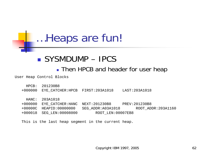### ■ SYSMDUMP – IPCS

**Then HPCB and header for user heap** 

User Heap Control Blocks

- HPCB: 201230B8
- +000000 EYE\_CATCHER:HPCB FIRST:203A1018 LAST:203A1018

- +000000 EYE\_CATCHER:HANC NEXT:201230B8 PREV:201230B8
- +00000C HEAPID:00000000 SEG\_ADDR:A03A1018 ROOT\_ADDR:203A1160
- +000018 SEG\_LEN:00008000 ROOT\_LEN:00007EB8

This is the last heap segment in the current heap.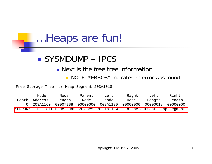## ■ SYSMDUMP – IPCS

### **Next is the free tree information**

### **NOTE: \*ERROR\* indicates an error was found**

Free Storage Tree for Heap Segment 203A1018

|         | Node          | Node     | Parent   | Left     | Right    | Left                                                                | Right    |
|---------|---------------|----------|----------|----------|----------|---------------------------------------------------------------------|----------|
|         | Depth Address | Length   | Node     | Node     | Node     | Length                                                              | Length   |
|         | 0 203A1160    | 00007EB8 | 00000000 | 003A1130 | 00000000 | 00000018                                                            | 00000000 |
| *ERROR* |               |          |          |          |          | The left node address does not fall within the current heap seqment |          |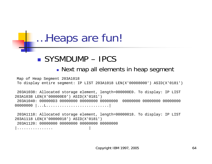## ■ SYSMDUMP – IPCS

### **Next map all elements in heap segment**

Map of Heap Segment 203A1018 To display entire segment: IP LIST 203A1018 LEN(X'00008000') ASID(X'0181')

203A1038: Allocated storage element, length=000000E0. To display: IP LIST 203A1038 LEN(X'000000E0') ASID(X'0181') 203A1040: 000000D3 00000000 00000000 00000000 00000000 00000000 00000000<sup>00000000</sup> |...L............................|

203A1118: Allocated storage element, length=00000018. To display: IP LIST 203A1118 LEN(X'00000018') ASID(X'0181') 203A1120: 00000000 00000000 00000000 00000000|................ |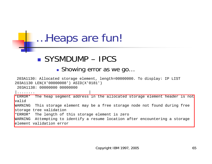## ■ SYSMDUMP – IPCS

### **Showing error as we go...**

203A1130: Allocated storage element, length=00000000. To display: IP LIST 203A1130 LEN(X'00000008') ASID(X'0181')

203A1138: 00000000 00000000

|........ |

\*ERROR\* The heap segment address in the allocated storage element header is not valid WARNING This storage element may be a free storage node not found during free storage tree validation \*ERROR\* The length of this storage element is zero WARNING Attempting to identify a resume location after encountering a storage element validation error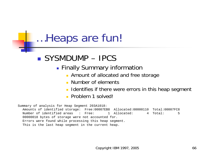## ■ SYSMDUMP – IPCS

- **Exammary information** Finally Summary information
	- **Amount of allocated and free storage**
	- m. Number of elements
	- **I** Identifies if there were errors in this heap segment
	- **Problem 1 solved!**

Summary of analysis for Heap Segment 203A1018: Amounts of identified storage: Free:00007EB8 Allocated:00000110 Total:00007FC8 Number of identified areas : Free: 1 Allocated: 4 Total: 500000018 bytes of storage were not accounted for. Errors were found while processing this heap segment. This is the last heap segment in the current heap.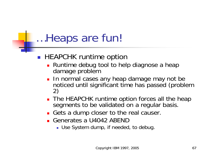### ■ HEAPCHK runtime option

- **Runtime debug tool to help diagnose a heap** damage problem
- In normal cases any heap damage may not be noticed until significant time has passed (problem 2)
- **The HEAPCHK runtime option forces all the heap** segments to be validated on a regular basis.
- Gets a dump closer to the real causer.
- Generates a U4042 ABEND
	- Use System dump, if needed, to debug.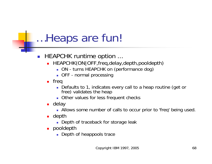#### $\mathcal{L}^{\mathcal{A}}$ HEAPCHK runtime option ...

- **HEAPCHK(ON|OFF,freq,delay,depth,pooldepth)** 
	- ON turns HEAPCHK on (performance dog)
	- OFF normal processing
- $\blacksquare$  freq
	- Defaults to 1, indicates every call to a heap routine (get or free) validates the heap
	- **Diangler values for less frequent checks**
- delay
	- Allows some number of calls to occur prior to 'freq' being used.
- $\blacksquare$  depth
	- **Depth of traceback for storage leak**
- pooldepth
	- **Depth of heappools trace**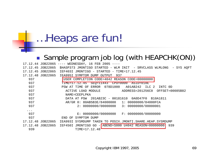#### $\mathcal{L}_{\mathcal{A}}$ Sample program job log (with HEAPCHK(ON))

|                      | 17.12.44 JOB22865 ---- WEDNESDAY, 16 FEB 2005 ----                  |
|----------------------|---------------------------------------------------------------------|
| 17.12.45 JOB22865    | \$HASP373 JMONTIGO STARTED - WLM INIT - SRVCLASS WLMLONG - SYS AQFT |
| 17.12.45 JOB22865    | IEF403I JMONTIGO - STARTED - TIME=17.12.45                          |
| 17.12.48 JOB22865    | IEA995I SYMPTOM DUMP OUTPUT<br>937                                  |
| 937                  | USER COMPLETION CODE=4042 REASON CODE=00000000                      |
| 937                  | TIME=17.12.45 SEQ=11443 CPU=0000 ASID=018E                          |
| 937                  | 078D1000 A01AB242<br>ERROR<br>ILC 2<br>INTC OD<br>PSW AT TIME OF    |
| 937                  | ADDRESS=201256C0 OFFSET=00085B82<br>ACTIVE LOAD MODULE              |
| 937                  | NAME=CEEPLPKA                                                       |
| 937                  | DATA AT PSW 201AB23C - 00181610<br>0A0D47F0 B10A1811                |
| 937                  | AR/GR 0: 80AB5B3E/84000000 1: 00000000/84000FCA                     |
| 937                  | $2: 00000000/00000000003: 00000000/00000001$                        |
| $\ddotsc$            |                                                                     |
| 937                  | E: 00000000/00000000 F: 00000000/00000000                           |
| 937                  | SYMPTOM DUMP<br>END OF                                              |
| 17.12.48<br>JOB22865 | SYSMDUMP TAKEN TO POSIX.JMONTI.SHARE.HEAP.SYSMDUMP<br>IEA993I       |
| 17.12.48 JOB22865    | IEF450I JMONTIGO GO - ABEND=S000 U4042 REASON=00000000<br>939       |
| 939                  | TIME=17.12.48                                                       |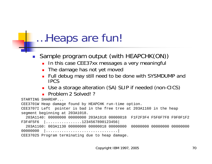$\overline{\phantom{a}}$ Sample program output (with HEAPCHK(ON))

- **In this case CEE37xx messages a very meaningful**
- **The damage has not yet moved**
- Full debug may still need to be done with SYSMDUMP and IPCS
- Use a storage alteration (SA) SLIP if needed (non-CICS)
- П Problem 2 Solved! ?

STARTING SHAREHP...

CEE3701W Heap damage found by HEAPCHK run-time option.

CEE3707I Left pointer is bad in the free tree at 203A1160 in the heap segment beginning at 203A1018.

203A1140: 00000000 00000000 203A1018 00000018 F1F2F3F4 F5F6F7F8 F9F0F1F2 F3F4F5F6 |................1234567890123456|

203A1160: 003A1130 00000000 00000018 00000000 00000000 00000000 00000000<sup>00000000</sup> |................................|

CEE3702S Program terminating due to heap damage.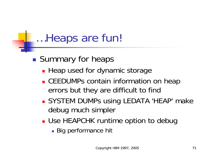$\mathbb{R}^n$ **Summary for heaps** 

- **Heap used for dynamic storage**
- **CEEDUMPs contain information on heap** errors but they are difficult to find
- **SYSTEM DUMPs using LEDATA 'HEAP' make** debug much simpler
- **Use HEAPCHK runtime option to debug** 
	- **Big performance hit**